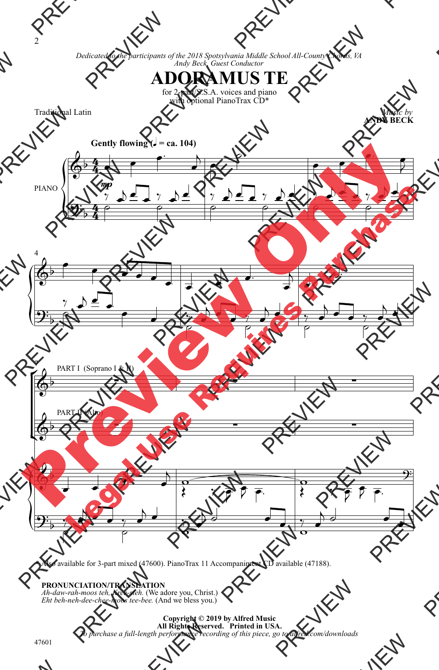*Dedicated to the participants of the 2018 Spotsylvania Middle School All-County Chorus, VA Andy Beck, Guest Conductor*

## **ADORAMUS TE**

for 2-part/S.S.A. voices and piano with optional PianoTrax CD\*

Traditional Latin

*Music by* **ANDY BECK**



\* Also available for 3-part mixed (47600). PianoTrax 11 Accompaniment CD available (47188).

 **PRONUNCIATION/TRANSLATION** *Aht beh-neh-dee-chee-moos tee-bee.* (And we bless you.)

> **Copyright © 2019 by Alfred Music All Rights Reserved. Printed in USA.** *To purchase a full-length performance recording of this piece, go to alfred.com/downloads*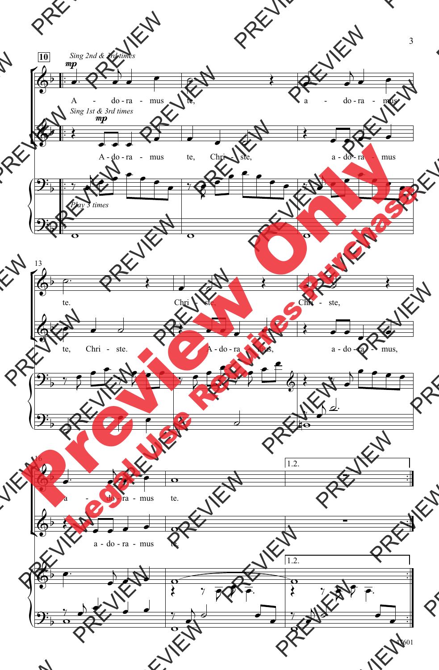

47601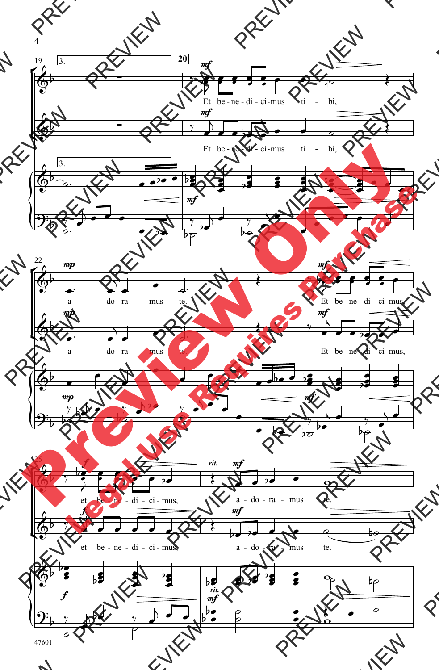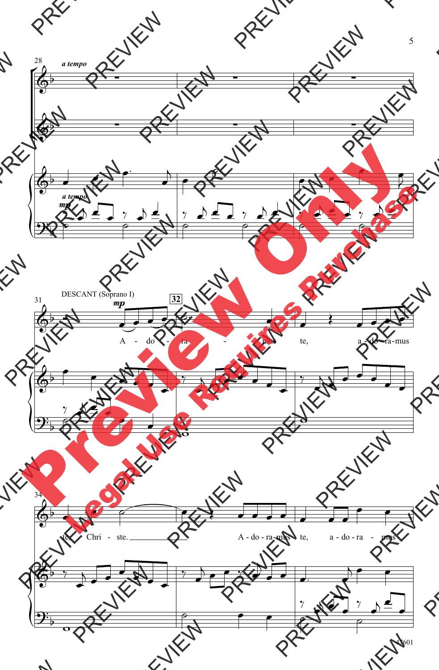

47601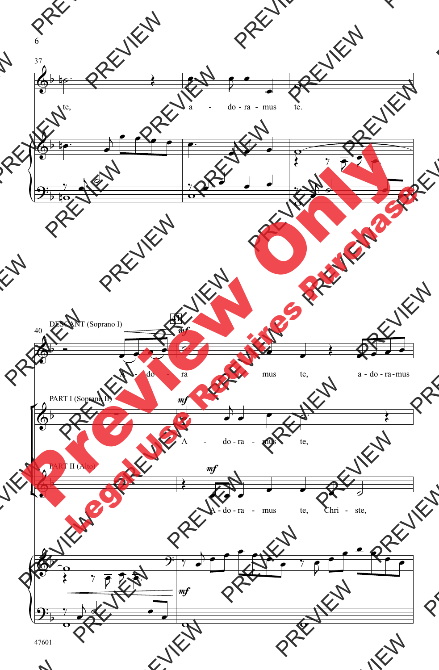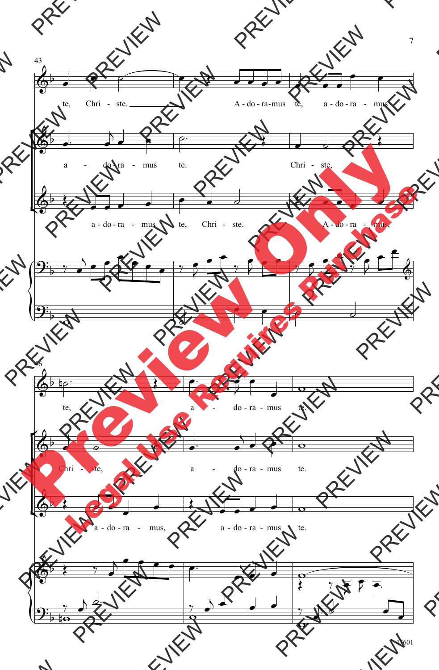![](_page_5_Figure_0.jpeg)